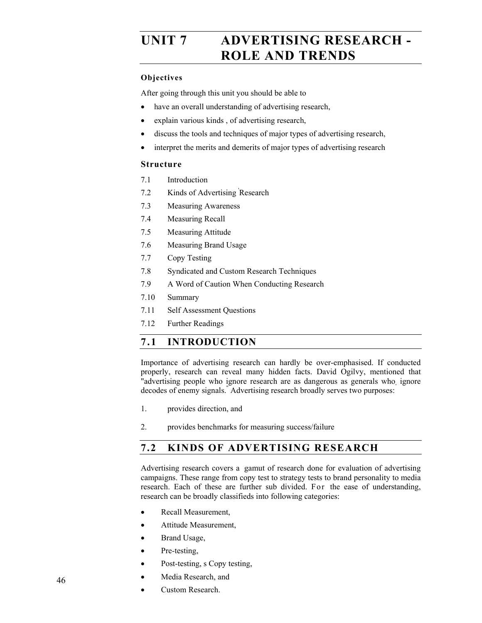# UNIT 7 ADVERTISING RESEARCH -**ROLE AND TRENDS**

#### **Objectives**

After going through this unit you should be able to

- have an overall understanding of advertising research,
- explain various kinds , of advertising research,
- discuss the tools and techniques of major types of advertising research,
- interpret the merits and demerits of major types of advertising research

#### **Structure**

- 7.1 Introduction
- 7.2 Kinds of Advertising ' Research
- 7.3 Measuring Awareness
- 7.4 Measuring Recall
- 7.5 Measuring Attitude
- 7.6 Measuring Brand Usage
- 7.7 Copy Testing
- 7.8 Syndicated and Custom Research Techniques
- 7.9 A Word of Caution When Conducting Research
- 7.10 Summary
- 7.11 Self Assessment Questions
- 7.12 Further Readings

### **7.1 INTRODUCTION**

Importance of advertising research can hardly be over-emphasised. If conducted properly, research can reveal many hidden facts. David Ogilvy, mentioned that "advertising people who ignore research are as dangerous as generals who, ignore decodes of enemy signals." Advertising research broadly serves two purposes:

- 1. provides direction, and
- 2. provides benchmarks for measuring success/failure

### **7.2 KINDS OF ADVERTISING RESEARCH**

Advertising research covers a gamut of research done for evaluation of advertising campaigns. These range from copy test to strategy tests to brand personality to media research. Each of these are further sub divided. For the ease of understanding, research can be broadly classifieds into following categories:

- Recall Measurement.
- Attitude Measurement,
- Brand Usage,
- Pre-testing,
- Post-testing, s Copy testing,
- Media Research, and
- Custom Research.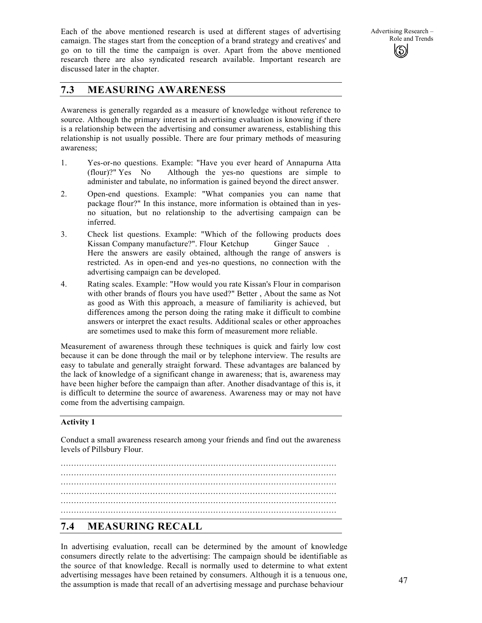Each of the above mentioned research is used at different stages of advertising camaign. The stages start from the conception of a brand strategy and creatives' and go on to till the time the campaign is over. Apart from the above mentioned research there are also syndicated research available. Important research are discussed later in the chapter.

### **7.3 MEASURING AWARENESS**

Awareness is generally regarded as a measure of knowledge without reference to source. Although the primary interest in advertising evaluation is knowing if there is a relationship between the advertising and consumer awareness, establishing this relationship is not usually possible. There are four primary methods of measuring awareness;

- 1. Yes-or-no questions. Example: "Have you ever heard of Annapurna Atta (flour)?" Yes No Although the yes-no questions are simple to administer and tabulate, no information is gained beyond the direct answer.
- 2. Open-end questions. Example: "What companies you can name that package flour?" In this instance, more information is obtained than in yesno situation, but no relationship to the advertising campaign can be inferred.
- 3. Check list questions. Example: "Which of the following products does Kissan Company manufacture?". Flour Ketchup Ginger Sauce . Here the answers are easily obtained, although the range of answers is restricted. As in open-end and yes-no questions, no connection with the advertising campaign can be developed.
- 4. Rating scales. Example: "How would you rate Kissan's Flour in comparison with other brands of flours you have used?" Better , About the same as Not as good as With this approach, a measure of familiarity is achieved, but differences among the person doing the rating make it difficult to combine answers or interpret the exact results. Additional scales or other approaches are sometimes used to make this form of measurement more reliable.

Measurement of awareness through these techniques is quick and fairly low cost because it can be done through the mail or by telephone interview. The results are easy to tabulate and generally straight forward. These advantages are balanced by the lack of knowledge of a significant change in awareness; that is, awareness may have been higher before the campaign than after. Another disadvantage of this is, it is difficult to determine the source of awareness. Awareness may or may not have come from the advertising campaign.

#### **Activity 1**

Conduct a small awareness research among your friends and find out the awareness levels of Pillsbury Flour.

......................................................................................................... ......................................................................................................... ......................................................................................................... ......................................................................................................... .........................................................................................................

# **7.4 MEASURING RECALL**

In advertising evaluation, recall can be determined by the amount of knowledge consumers directly relate to the advertising: The campaign should be identifiable as the source of that knowledge. Recall is normally used to determine to what extent advertising messages have been retained by consumers. Although it is a tenuous one, the assumption is made that recall of an advertising message and purchase behaviour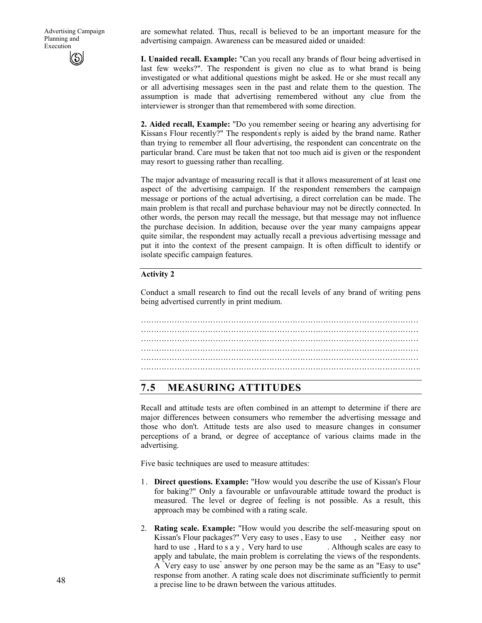are somewhat related. Thus, recall is believed to be an important measure for the advertising campaign. Awareness can be measured aided or unaided:

**I. Unaided recall. Example:** "Can you recall any brands of flour being advertised in last few weeks?". The respondent is given no clue as to what brand is being investigated or what additional questions might be asked. He or she must recall any or all advertising messages seen in the past and relate them to the question. The assumption is made that advertising remembered without any clue from the interviewer is stronger than that remembered with some direction.

**2. Aided recall, Example:** "Do you remember seeing or hearing any advertising for Kissan' s Flour recently?" The respondent' s reply is aided by the brand name. Rather than trying to remember all flour advertising, the respondent can concentrate on the particular brand. Care must be taken that not too much aid is given or the respondent may resort to guessing rather than recalling.

The major advantage of measuring recall is that it allows measurement of at least one aspect of the advertising campaign. If the respondent remembers the campaign message or portions of the actual advertising, a direct correlation can be made. The main problem is that recall and purchase behaviour may not be directly connected. In other words, the person may recall the message, but that message may not influence the purchase decision. In addition, because over the year many campaigns appear quite similar, the respondent may actually recall a previous advertising message and put it into the context of the present campaign. It is often difficult to identify or isolate specific campaign features.

#### **Activity 2**

Conduct a small research to find out the recall levels of any brand of writing pens being advertised currently in print medium.

……………………………………………………………………………………………… ……………………………………………………………………………………………… ……………………………………………………………………………………………… ……………………………………………………………………………………………… ……………………………………………………………………………………………….

### **7.5 MEASURING ATTITUDES**

Recall and attitude tests are often combined in an attempt to determine if there are major differences between consumers who remember the advertising message and those who don't. Attitude tests are also used to measure changes in consumer perceptions of a brand, or degree of acceptance of various claims made in the advertising.

Five basic techniques are used to measure attitudes:

- 1. **Direct questions. Example:** "How would you describe the use of Kissan's Flour for baking?" Only a favourable or unfavourable attitude toward the product is measured. The level or degree of feeling is not possible. As a result, this approach may be combined with a rating scale.
- 2. **Rating scale. Example:** "How would you describe the self-measuring spout on Kissan's Flour packages?" Very easy to uses , Easy to use , Neither easy nor hard to use, Hard to s a y, Very hard to use . Although scales are easy to apply and tabulate, the main problem is correlating the views of the respondents. A "Very easy to use" answer by one person may be the same as an "Easy to use" response from another. A rating scale does not discriminate sufficiently to permit a precise line to be drawn between the various attitudes.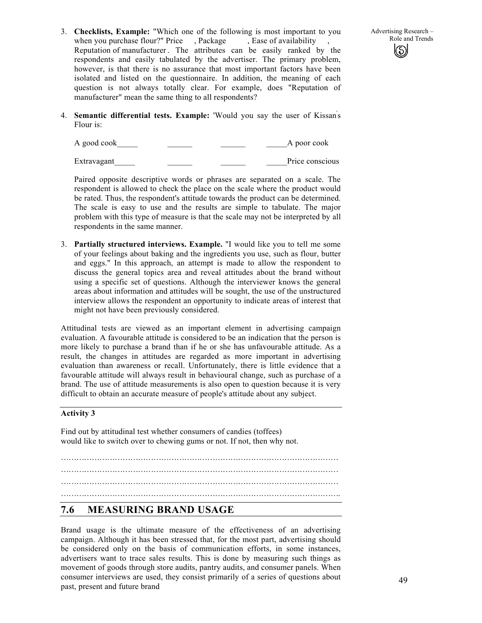3. **Checklists, Example:** "Which one of the following is most important to you when you purchase flour?" Price , Package , Ease of availability Reputation of manufacturer . The attributes can be easily ranked by the respondents and easily tabulated by the advertiser. The primary problem, however, is that there is no assurance that most important factors have been isolated and listed on the questionnaire. In addition, the meaning of each question is not always totally clear. For example, does "Reputation of manufacturer" mean the same thing to all respondents?

4. **Semantic differential tests. Example:** 'Would you say the user of Kissan' s Flour is:

A good cook A poor cook Extravagant Price conscious

Paired opposite descriptive words or phrases are separated on a scale. The respondent is allowed to check the place on the scale where the product would be rated. Thus, the respondent's attitude towards the product can be determined. The scale is easy to use and the results are simple to tabulate. The major problem with this type of measure is that the scale may not be interpreted by all respondents in the same manner.

3. **Partially structured interviews. Example.** "I would like you to tell me some of your feelings about baking and the ingredients you use, such as flour, butter and eggs." In this approach, an attempt is made to allow the respondent to discuss the general topics area and reveal attitudes about the brand without using a specific set of questions. Although the interviewer knows the general areas about information and attitudes will be sought, the use of the unstructured interview allows the respondent an opportunity to indicate areas of interest that might not have been previously considered.

Attitudinal tests are viewed as an important element in advertising campaign evaluation. A favourable attitude is considered to be an indication that the person is more likely to purchase a brand than if he or she has unfavourable attitude. As a result, the changes in attitudes are regarded as more important in advertising evaluation than awareness or recall. Unfortunately, there is little evidence that a favourable attitude will always result in behavioural change, such as purchase of a brand. The use of attitude measurements is also open to question because it is very difficult to obtain an accurate measure of people's attitude about any subject.

#### **Activity 3**

Find out by attitudinal test whether consumers of candies (toffees) would like to switch over to chewing gums or not. If not, then why not.

………………………………………………………………………………………………

………………………………………………………………………………………………

# ……………………………………………………………………………………………….

# **7.6 MEASURING BRAND USAGE**

Brand usage is the ultimate measure of the effectiveness of an advertising campaign. Although it has been stressed that, for the most part, advertising should be considered only on the basis of communication efforts, in some instances, advertisers want to trace sales results. This is done by measuring such things as movement of goods through store audits, pantry audits, and consumer panels. When consumer interviews are used, they consist primarily of a series of questions about past, present and future brand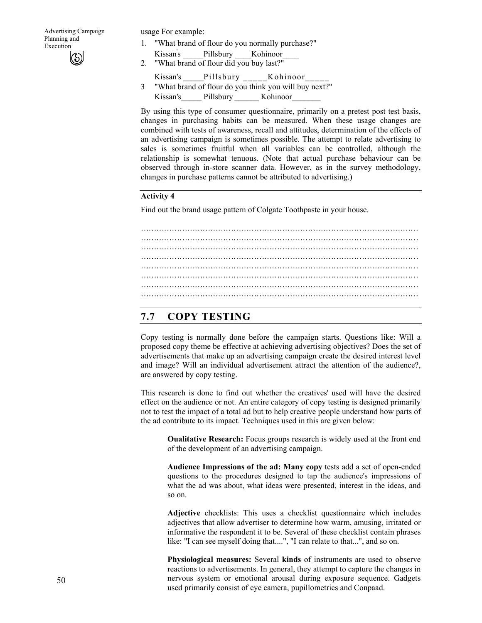usage For example:

- 1. "What brand of flour do you normally purchase?" Kissan' Pillsbury Kohinoor
- 2. "What brand of flour did you buy last?"
- Kissan's \_\_\_\_\_Pillsbury \_\_\_\_\_Kohinoor\_\_\_\_\_
- 3 "What brand of flour do you think you will buy next?" Kissan's Pillsbury Kohinoor

By using this type of consumer questionnaire, primarily on a pretest post test basis, changes in purchasing habits can be measured. When these usage changes are combined with tests of awareness, recall and attitudes, determination of the effects of an advertising campaign is sometimes possible. The attempt to relate advertising to sales is sometimes fruitful when all variables can be controlled, although the relationship is somewhat tenuous. (Note that actual purchase behaviour can be observed through in-store scanner data. However, as in the survey methodology, changes in purchase patterns cannot be attributed to advertising.)

#### **Activity 4**

Find out the brand usage pattern of Colgate Toothpaste in your house.

……………………………………………………………………………………………… ……………………………………………………………………………………………… ……………………………………………………………………………………………… ……………………………………………………………………………………………… ………………………………………………………………………………………………

### **7.7 COPY TESTING**

Copy testing is normally done before the campaign starts. Questions like: Will a proposed copy theme be effective at achieving advertising objectives? Does the set of advertisements that make up an advertising campaign create the desired interest level and image? Will an individual advertisement attract the attention of the audience?, are answered by copy testing.

This research is done to find out whether the creatives' used will have the desired effect on the audience or not. An entire category of copy testing is designed primarily not to test the impact of a total ad but to help creative people understand how parts of the ad contribute to its impact. Techniques used in this are given below:

**Oualitative Research:** Focus groups research is widely used at the front end of the development of an advertising campaign.

**Audience Impressions of the ad: Many copy** tests add a set of open-ended questions to the procedures designed to tap the audience's impressions of what the ad was about, what ideas were presented, interest in the ideas, and so on.

**Adjective** checklists: This uses a checklist questionnaire which includes adjectives that allow advertiser to determine how warm, amusing, irritated or informative the respondent it to be. Several of these checklist contain phrases like: "I can see myself doing that....", "I can relate to that...", and so on.

**Physiological measures:** Several **kinds** of instruments are used to observe reactions to advertisements. In general, they attempt to capture the changes in nervous system or emotional arousal during exposure sequence. Gadgets used primarily consist of eye camera, pupillometrics and Conpaad.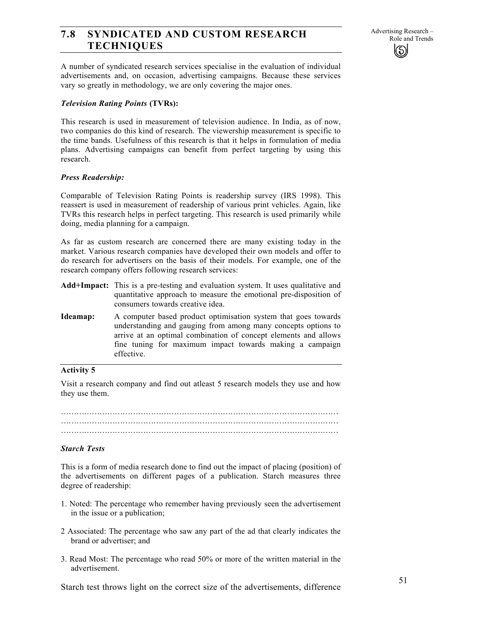# Role and Trends **7.8 SYNDICATED AND CUSTOM RESEARCH TECHNIQUES**

A number of syndicated research services specialise in the evaluation of individual advertisements and, on occasion, advertising campaigns. Because these services vary so greatly in methodology, we are only covering the major ones.

#### *Television Rating Points* **(TVRs):**

This research is used in measurement of television audience. In India, as of now, two companies do this kind of research. The viewership measurement is specific to the time bands. Usefulness of this research is that it helps in formulation of media plans. Advertising campaigns can benefit from perfect targeting by using this research.

#### *Press Readership:*

Comparable of Television Rating Points is readership survey (IRS 1998). This reassert is used in measurement of readership of various print vehicles. Again, like TVRs this research helps in perfect targeting. This research is used primarily while doing, media planning for a campaign.

As far as custom research are concerned there are many existing today in the market. Various research companies have developed their own models and offer to do research for advertisers on the basis of their models. For example, one of the research company offers following research services:

- **Add+Impact:** This is a pre-testing and evaluation system. It uses qualitative and quantitative approach to measure the emotional pre-disposition of consumers towards creative idea.
- **Ideamap:** A computer based product optimisation system that goes towards understanding and gauging from among many concepts options to arrive at an optimal combination of concept elements and allows fine tuning for maximum impact towards making a campaign effective.

#### **Activity 5**

Visit a research company and find out atleast 5 research models they use and how they use them.

……………………………………………………………………………………………… ……………………………………………………………………………………………… ………………………………………………………………………………………………

#### *Starch Tests*

This is a form of media research done to find out the impact of placing (position) of the advertisements on different pages of a publication. Starch measures three degree of readership:

- 1. Noted: The percentage who remember having previously seen the advertisement in the issue or a publication;
- 2 Associated: The percentage who saw any part of the ad that clearly indicates the brand or advertiser; and
- 3. Read Most: The percentage who read 50% or more of the written material in the advertisement.

Starch test throws light on the correct size of the advertisements, difference